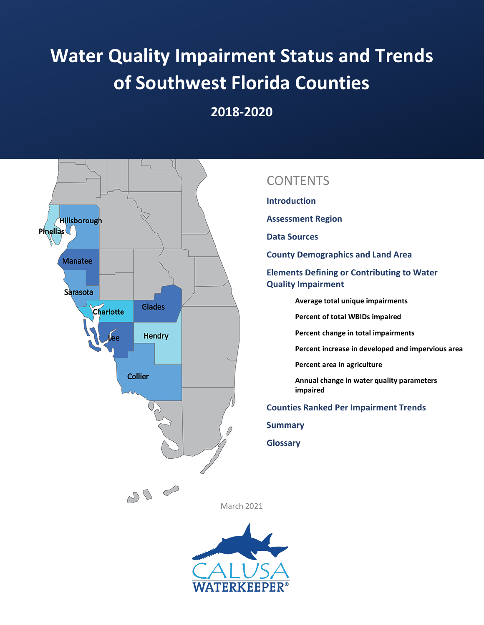# **Water Quality Impairment Status and Trends of Southwest Florida Counties**

**2018-2020**



## **CONTENTS**

**Introduction**

**Assessment Region** 

**Data Sources**

**County Demographics and Land Area**

**Elements Defining or Contributing to Water Quality Impairment** 

**Average total unique impairments**

**Percent of total WBIDs impaired**

**Percent change in total impairments**

**Percent increase in developed and impervious area**

**Percent area in agriculture**

**Annual change in water quality parameters impaired**

**Counties Ranked Per Impairment Trends**

**Summary**

**Glossary**

March 2021

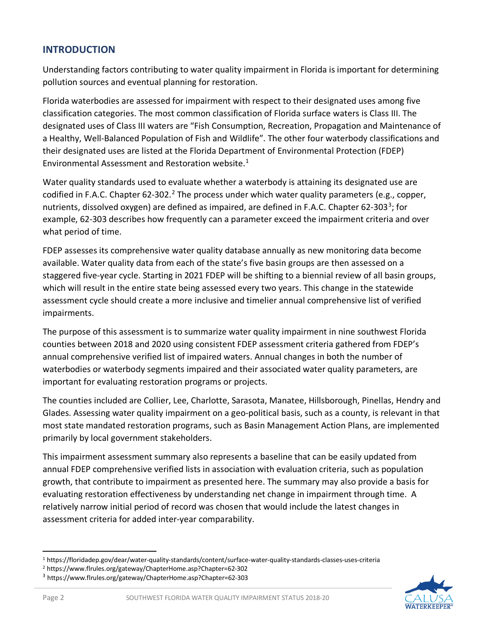#### **INTRODUCTION**

Understanding factors contributing to water quality impairment in Florida is important for determining pollution sources and eventual planning for restoration.

Florida waterbodies are assessed for impairment with respect to their designated uses among five classification categories. The most common classification of Florida surface waters is Class III. The designated uses of Class III waters are "Fish Consumption, Recreation, Propagation and Maintenance of a Healthy, Well-Balanced Population of Fish and Wildlife". The other four waterbody classifications and their designated uses are listed at the Florida Department of Environmental Protection (FDEP) Environmental Assessment and Restoration website.[1](#page-1-0)

Water quality standards used to evaluate whether a waterbody is attaining its designated use are codified in F.A.C. Chapter 6[2](#page-1-1)-302.<sup>2</sup> The process under which water quality parameters (e.g., copper, nutrients, dissolved oxygen) are defined as impaired, are defined in F.A.C. Chapter 62-[3](#page-1-2)03<sup>3</sup>; for example, 62-303 describes how frequently can a parameter exceed the impairment criteria and over what period of time.

FDEP assesses its comprehensive water quality database annually as new monitoring data become available. Water quality data from each of the state's five basin groups are then assessed on a staggered five-year cycle. Starting in 2021 FDEP will be shifting to a biennial review of all basin groups, which will result in the entire state being assessed every two years. This change in the statewide assessment cycle should create a more inclusive and timelier annual comprehensive list of verified impairments.

The purpose of this assessment is to summarize water quality impairment in nine southwest Florida counties between 2018 and 2020 using consistent FDEP assessment criteria gathered from FDEP's annual comprehensive verified list of impaired waters. Annual changes in both the number of waterbodies or waterbody segments impaired and their associated water quality parameters, are important for evaluating restoration programs or projects.

The counties included are Collier, Lee, Charlotte, Sarasota, Manatee, Hillsborough, Pinellas, Hendry and Glades. Assessing water quality impairment on a geo-political basis, such as a county, is relevant in that most state mandated restoration programs, such as Basin Management Action Plans, are implemented primarily by local government stakeholders.

This impairment assessment summary also represents a baseline that can be easily updated from annual FDEP comprehensive verified lists in association with evaluation criteria, such as population growth, that contribute to impairment as presented here. The summary may also provide a basis for evaluating restoration effectiveness by understanding net change in impairment through time. A relatively narrow initial period of record was chosen that would include the latest changes in assessment criteria for added inter-year comparability.



<span id="page-1-0"></span><sup>1</sup> https://floridadep.gov/dear/water-quality-standards/content/surface-water-quality-standards-classes-uses-criteria

<span id="page-1-1"></span><sup>2</sup> https://www.flrules.org/gateway/ChapterHome.asp?Chapter=62-302

<span id="page-1-2"></span><sup>3</sup> https://www.flrules.org/gateway/ChapterHome.asp?Chapter=62-303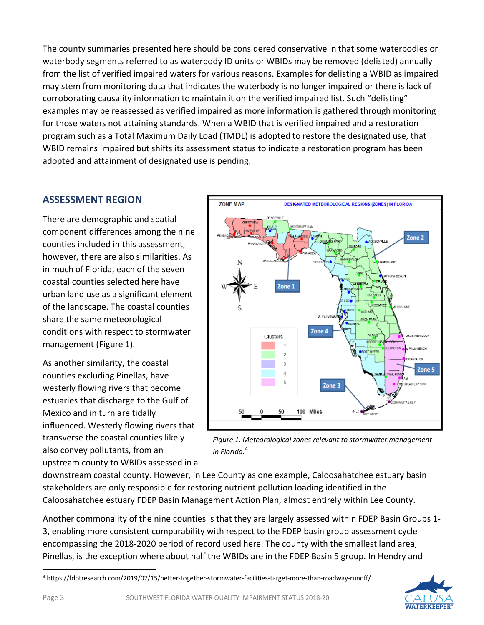The county summaries presented here should be considered conservative in that some waterbodies or waterbody segments referred to as waterbody ID units or WBIDs may be removed (delisted) annually from the list of verified impaired waters for various reasons. Examples for delisting a WBID as impaired may stem from monitoring data that indicates the waterbody is no longer impaired or there is lack of corroborating causality information to maintain it on the verified impaired list. Such "delisting" examples may be reassessed as verified impaired as more information is gathered through monitoring for those waters not attaining standards. When a WBID that is verified impaired and a restoration program such as a Total Maximum Daily Load (TMDL) is adopted to restore the designated use, that WBID remains impaired but shifts its assessment status to indicate a restoration program has been adopted and attainment of designated use is pending.

#### **ASSESSMENT REGION**

There are demographic and spatial component differences among the nine counties included in this assessment, however, there are also similarities. As in much of Florida, each of the seven coastal counties selected here have urban land use as a significant element of the landscape. The coastal counties share the same meteorological conditions with respect to stormwater management (Figure 1).[4](#page-2-0)

As another similarity, the coastal counties excluding Pinellas, have westerly flowing rivers that become estuaries that discharge to the Gulf of Mexico and in turn are tidally influenced. Westerly flowing rivers that transverse the coastal counties likely also convey pollutants, from an upstream county to WBIDs assessed in a



*Figure 1. Meteorological zones relevant to stormwater management in Florida.*<sup>4</sup>

downstream coastal county. However, in Lee County as one example, Caloosahatchee estuary basin stakeholders are only responsible for restoring nutrient pollution loading identified in the Caloosahatchee estuary FDEP Basin Management Action Plan, almost entirely within Lee County.

Another commonality of the nine counties is that they are largely assessed within FDEP Basin Groups 1- 3, enabling more consistent comparability with respect to the FDEP basin group assessment cycle encompassing the 2018-2020 period of record used here. The county with the smallest land area, Pinellas, is the exception where about half the WBIDs are in the FDEP Basin 5 group. In Hendry and

<span id="page-2-0"></span><sup>4</sup> https://fdotresearch.com/2019/07/15/better-together-stormwater-facilities-target-more-than-roadway-runoff/

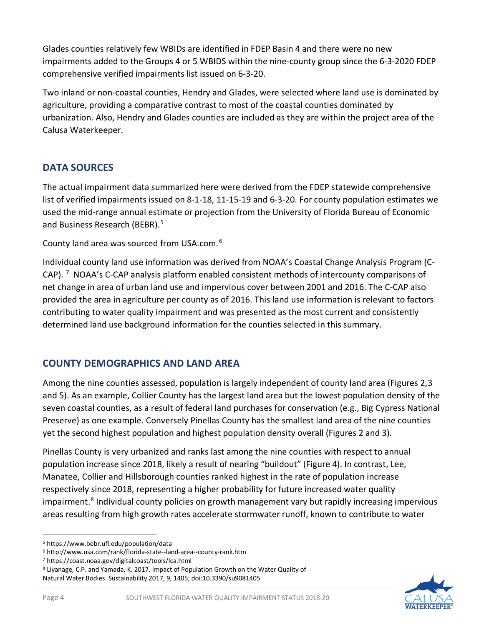Glades counties relatively few WBIDs are identified in FDEP Basin 4 and there were no new impairments added to the Groups 4 or 5 WBIDS within the nine-county group since the 6-3-2020 FDEP comprehensive verified impairments list issued on 6-3-20.

Two inland or non-coastal counties, Hendry and Glades, were selected where land use is dominated by agriculture, providing a comparative contrast to most of the coastal counties dominated by urbanization. Also, Hendry and Glades counties are included as they are within the project area of the Calusa Waterkeeper.

## **DATA SOURCES**

The actual impairment data summarized here were derived from the FDEP statewide comprehensive list of verified impairments issued on 8-1-18, 11-15-19 and 6-3-20. For county population estimates we used the mid-range annual estimate or projection from the University of Florida Bureau of Economic and Business Research (BEBR). [5](#page-3-0)

County land area was sourced from USA.com.[6](#page-3-1)

Individual county land use information was derived from NOAA's Coastal Change Analysis Program (C-CAP).  $^7$  $^7$  NOAA's C-CAP analysis platform enabled consistent methods of intercounty comparisons of net change in area of urban land use and impervious cover between 2001 and 2016. The C-CAP also provided the area in agriculture per county as of 2016. This land use information is relevant to factors contributing to water quality impairment and was presented as the most current and consistently determined land use background information for the counties selected in this summary.

## **COUNTY DEMOGRAPHICS AND LAND AREA**

Among the nine counties assessed, population is largely independent of county land area (Figures 2,3 and 5). As an example, Collier County has the largest land area but the lowest population density of the seven coastal counties, as a result of federal land purchases for conservation (e.g., Big Cypress National Preserve) as one example. Conversely Pinellas County has the smallest land area of the nine counties yet the second highest population and highest population density overall (Figures 2 and 3).

Pinellas County is very urbanized and ranks last among the nine counties with respect to annual population increase since 2018, likely a result of nearing "buildout" (Figure 4). In contrast, Lee, Manatee, Collier and Hillsborough counties ranked highest in the rate of population increase respectively since 2018, representing a higher probability for future increased water quality impairment. [8](#page-3-3) Individual county policies on growth management vary but rapidly increasing impervious areas resulting from high growth rates accelerate stormwater runoff, known to contribute to water



<span id="page-3-0"></span><sup>5</sup> https://www.bebr.ufl.edu/population/data

<span id="page-3-1"></span><sup>6</sup> http://www.usa.com/rank/florida-state--land-area--county-rank.htm

<span id="page-3-2"></span><sup>7</sup> https://coast.noaa.gov/digitalcoast/tools/lca.html

<span id="page-3-3"></span><sup>8</sup> Liyanage, C.P. and Yamada, K. 2017. Impact of Population Growth on the Water Quality of Natural Water Bodies. Sustainability 2017, 9, 1405; doi:10.3390/su9081405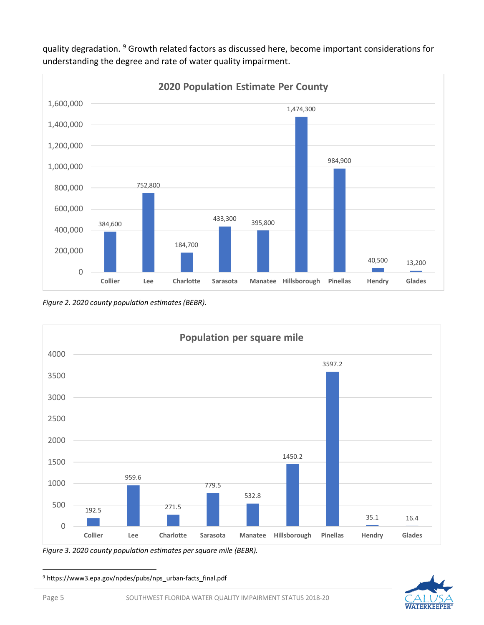

quality degradation. [9](#page-4-0) Growth related factors as discussed here, become important considerations for understanding the degree and rate of water quality impairment.

*Figure 2. 2020 county population estimates (BEBR).*



*Figure 3. 2020 county population estimates per square mile (BEBR).*

<span id="page-4-0"></span><sup>9</sup> https://www3.epa.gov/npdes/pubs/nps\_urban-facts\_final.pdf

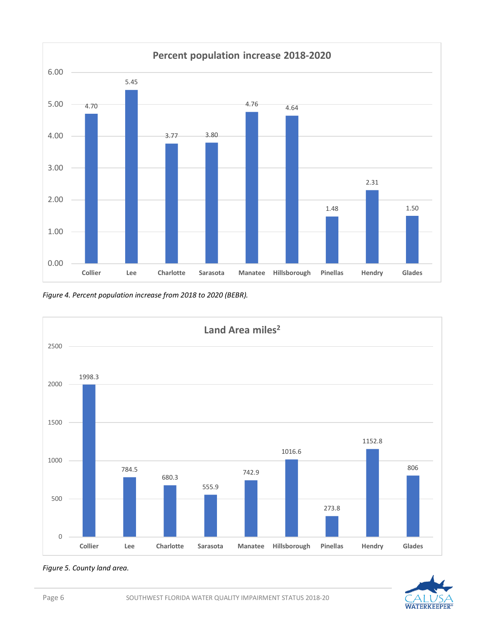

*Figure 4. Percent population increase from 2018 to 2020 (BEBR).*



**WATERKEEPER** 

#### *Figure 5. County land area.*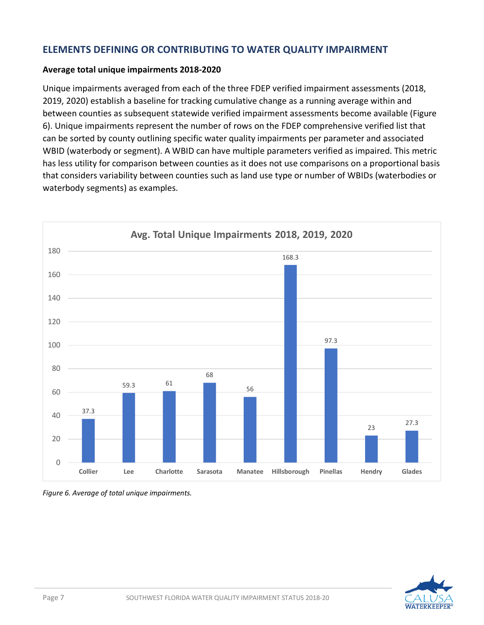#### **ELEMENTS DEFINING OR CONTRIBUTING TO WATER QUALITY IMPAIRMENT**

#### **Average total unique impairments 2018-2020**

Unique impairments averaged from each of the three FDEP verified impairment assessments (2018, 2019, 2020) establish a baseline for tracking cumulative change as a running average within and between counties as subsequent statewide verified impairment assessments become available (Figure 6). Unique impairments represent the number of rows on the FDEP comprehensive verified list that can be sorted by county outlining specific water quality impairments per parameter and associated WBID (waterbody or segment). A WBID can have multiple parameters verified as impaired. This metric has less utility for comparison between counties as it does not use comparisons on a proportional basis that considers variability between counties such as land use type or number of WBIDs (waterbodies or waterbody segments) as examples.



*Figure 6. Average of total unique impairments.*

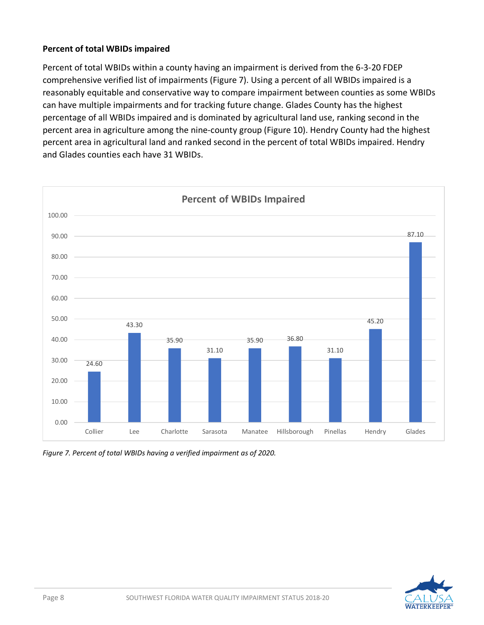#### **Percent of total WBIDs impaired**

Percent of total WBIDs within a county having an impairment is derived from the 6-3-20 FDEP comprehensive verified list of impairments (Figure 7). Using a percent of all WBIDs impaired is a reasonably equitable and conservative way to compare impairment between counties as some WBIDs can have multiple impairments and for tracking future change. Glades County has the highest percentage of all WBIDs impaired and is dominated by agricultural land use, ranking second in the percent area in agriculture among the nine-county group (Figure 10). Hendry County had the highest percent area in agricultural land and ranked second in the percent of total WBIDs impaired. Hendry and Glades counties each have 31 WBIDs.



*Figure 7. Percent of total WBIDs having a verified impairment as of 2020.*

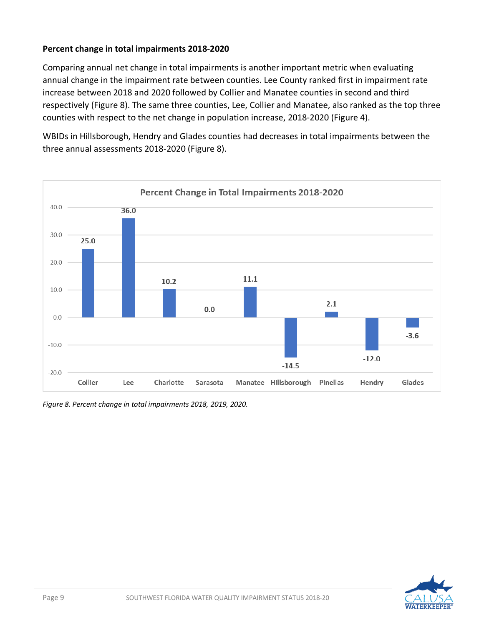#### **Percent change in total impairments 2018-2020**

Comparing annual net change in total impairments is another important metric when evaluating annual change in the impairment rate between counties. Lee County ranked first in impairment rate increase between 2018 and 2020 followed by Collier and Manatee counties in second and third respectively (Figure 8). The same three counties, Lee, Collier and Manatee, also ranked as the top three counties with respect to the net change in population increase, 2018-2020 (Figure 4).

WBIDs in Hillsborough, Hendry and Glades counties had decreases in total impairments between the three annual assessments 2018-2020 (Figure 8).



*Figure 8. Percent change in total impairments 2018, 2019, 2020.*

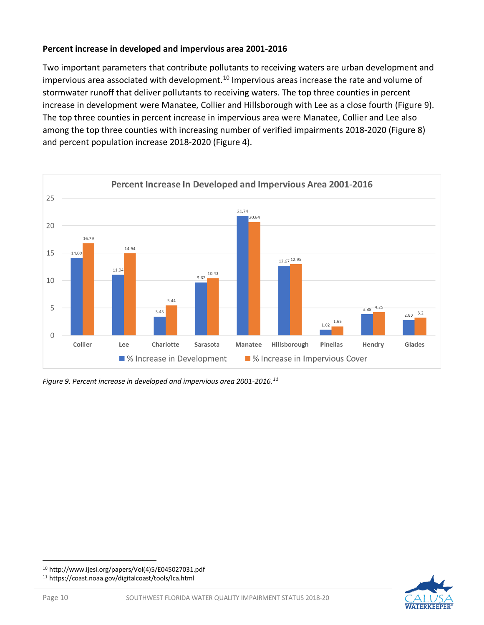#### **Percent increase in developed and impervious area 2001-2016**

Two important parameters that contribute pollutants to receiving waters are urban development and impervious area associated with development.<sup>[10](#page-9-0)</sup> Impervious areas increase the rate and volume of stormwater runoff that deliver pollutants to receiving waters. The top three counties in percent increase in development were Manatee, Collier and Hillsborough with Lee as a close fourth (Figure 9). The top three counties in percent increase in impervious area were Manatee, Collier and Lee also among the top three counties with increasing number of verified impairments 2018-2020 (Figure 8) and percent population increase 2018-2020 (Figure 4).



*Figure 9. Percent increase in developed and impervious area 2001-2016.[11](#page-9-1)*

<span id="page-9-1"></span><sup>11</sup> https://coast.noaa.gov/digitalcoast/tools/lca.html



<span id="page-9-0"></span><sup>10</sup> http://www.ijesi.org/papers/Vol(4)5/E045027031.pdf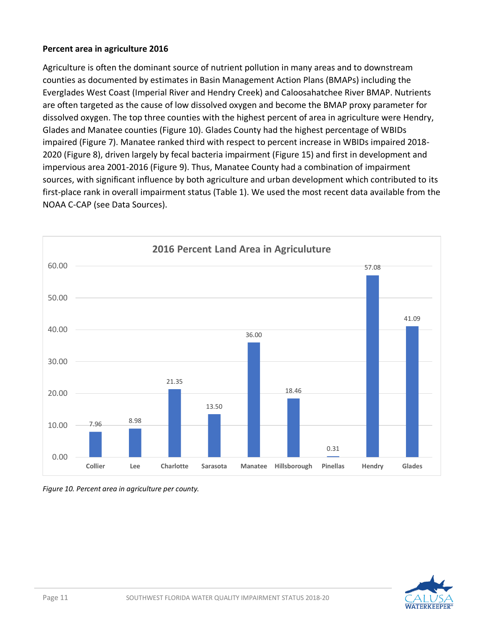#### **Percent area in agriculture 2016**

Agriculture is often the dominant source of nutrient pollution in many areas and to downstream counties as documented by estimates in Basin Management Action Plans (BMAPs) including the Everglades West Coast (Imperial River and Hendry Creek) and Caloosahatchee River BMAP. Nutrients are often targeted as the cause of low dissolved oxygen and become the BMAP proxy parameter for dissolved oxygen. The top three counties with the highest percent of area in agriculture were Hendry, Glades and Manatee counties (Figure 10). Glades County had the highest percentage of WBIDs impaired (Figure 7). Manatee ranked third with respect to percent increase in WBIDs impaired 2018- 2020 (Figure 8), driven largely by fecal bacteria impairment (Figure 15) and first in development and impervious area 2001-2016 (Figure 9). Thus, Manatee County had a combination of impairment sources, with significant influence by both agriculture and urban development which contributed to its first-place rank in overall impairment status (Table 1). We used the most recent data available from the NOAA C-CAP (see Data Sources).



*Figure 10. Percent area in agriculture per county.* 

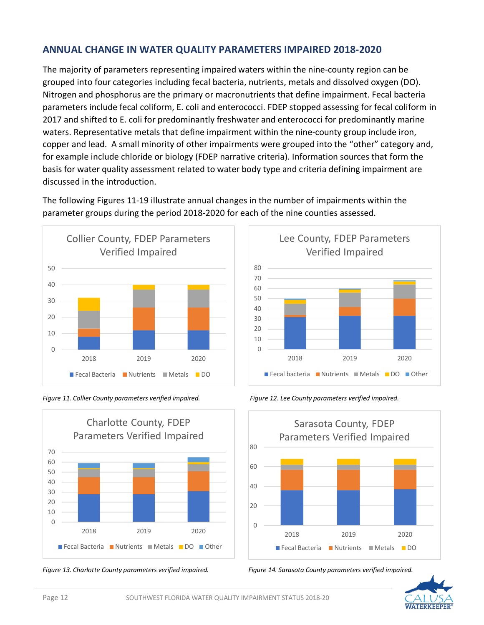#### **ANNUAL CHANGE IN WATER QUALITY PARAMETERS IMPAIRED 2018-2020**

The majority of parameters representing impaired waters within the nine-county region can be grouped into four categories including fecal bacteria, nutrients, metals and dissolved oxygen (DO). Nitrogen and phosphorus are the primary or macronutrients that define impairment. Fecal bacteria parameters include fecal coliform, E. coli and enterococci. FDEP stopped assessing for fecal coliform in 2017 and shifted to E. coli for predominantly freshwater and enterococci for predominantly marine waters. Representative metals that define impairment within the nine-county group include iron, copper and lead. A small minority of other impairments were grouped into the "other" category and, for example include chloride or biology (FDEP narrative criteria). Information sources that form the basis for water quality assessment related to water body type and criteria defining impairment are discussed in the introduction.

The following Figures 11-19 illustrate annual changes in the number of impairments within the parameter groups during the period 2018-2020 for each of the nine counties assessed.















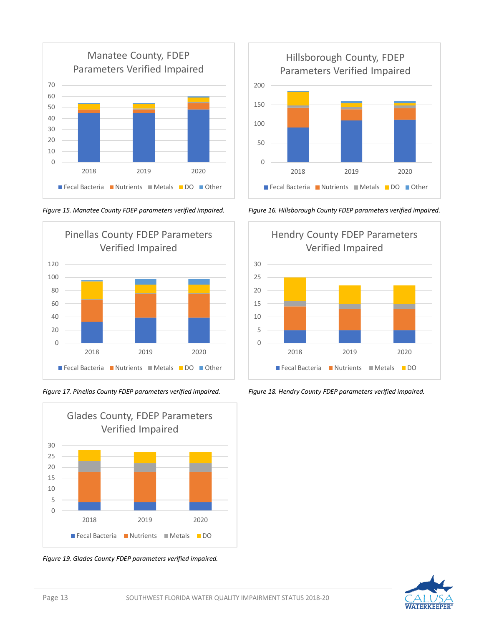





*Figure 19. Glades County FDEP parameters verified impaired.*



*Figure 15. Manatee County FDEP parameters verified impaired. Figure 16. Hillsborough County FDEP parameters verified impaired.*



*Figure 17. Pinellas County FDEP parameters verified impaired. Figure 18. Hendry County FDEP parameters verified impaired.*

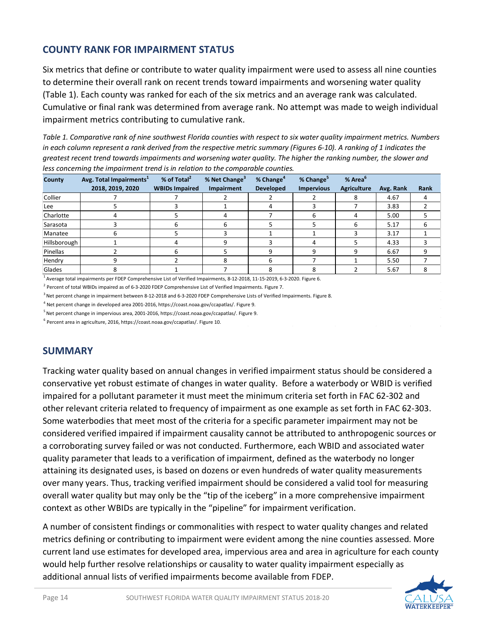## **COUNTY RANK FOR IMPAIRMENT STATUS**

Six metrics that define or contribute to water quality impairment were used to assess all nine counties to determine their overall rank on recent trends toward impairments and worsening water quality (Table 1). Each county was ranked for each of the six metrics and an average rank was calculated. Cumulative or final rank was determined from average rank. No attempt was made to weigh individual impairment metrics contributing to cumulative rank.

*Table 1. Comparative rank of nine southwest Florida counties with respect to six water quality impairment metrics. Numbers in each column represent a rank derived from the respective metric summary (Figures 6-10). A ranking of 1 indicates the greatest recent trend towards impairments and worsening water quality. The higher the ranking number, the slower and less concerning the impairment trend is in relation to the comparable counties.*

| County       | Avg. Total Impairments <sup>1</sup> | % of Total <sup>2</sup> | % Net Change <sup>3</sup> | % Change <sup>4</sup> | % Change <sup>5</sup> | % Area <sup>t</sup> |           |             |
|--------------|-------------------------------------|-------------------------|---------------------------|-----------------------|-----------------------|---------------------|-----------|-------------|
|              | 2018, 2019, 2020                    | <b>WBIDs Impaired</b>   | <b>Impairment</b>         | <b>Developed</b>      | <b>Impervious</b>     | <b>Agriculture</b>  | Avg. Rank | <b>Rank</b> |
| Collier      |                                     |                         |                           |                       |                       |                     | 4.67      |             |
| Lee          |                                     |                         |                           |                       |                       |                     | 3.83      |             |
| Charlotte    |                                     |                         |                           |                       |                       |                     | 5.00      |             |
| Sarasota     |                                     |                         | h                         |                       |                       |                     | 5.17      | h           |
| Manatee      |                                     |                         |                           |                       |                       |                     | 3.17      |             |
| Hillsborough |                                     |                         |                           |                       |                       |                     | 4.33      |             |
| Pinellas     |                                     |                         |                           |                       |                       |                     | 6.67      |             |
| Hendry       |                                     |                         |                           |                       |                       |                     | 5.50      |             |
| Glades       |                                     |                         |                           |                       |                       |                     | 5.67      |             |

<sup>1</sup> Average total impairments per FDEP Comprehensive List of Verified Impairments, 8-12-2018, 11-15-2019, 6-3-2020. Figure 6.

 $^2$  Percent of total WBIDs impaired as of 6-3-2020 FDEP Comprehensive List of Verified Impairments. Figure 7.

<sup>3</sup> Net percent change in impairment between 8-12-2018 and 6-3-2020 FDEP Comprehensive Lists of Verified Impairments. Figure 8.

<sup>4</sup> Net percent change in developed area 2001-2016, https://coast.noaa.gov/ccapatlas/. Figure 9.

5 Net percent change in impervious area, 2001-2016, https://coast.noaa.gov/ccapatlas/. Figure 9.

<sup>6</sup> Percent area in agriculture, 2016, https://coast.noaa.gov/ccapatlas/. Figure 10.

#### **SUMMARY**

Tracking water quality based on annual changes in verified impairment status should be considered a conservative yet robust estimate of changes in water quality. Before a waterbody or WBID is verified impaired for a pollutant parameter it must meet the minimum criteria set forth in FAC 62-302 and other relevant criteria related to frequency of impairment as one example as set forth in FAC 62-303. Some waterbodies that meet most of the criteria for a specific parameter impairment may not be considered verified impaired if impairment causality cannot be attributed to anthropogenic sources or a corroborating survey failed or was not conducted. Furthermore, each WBID and associated water quality parameter that leads to a verification of impairment, defined as the waterbody no longer attaining its designated uses, is based on dozens or even hundreds of water quality measurements over many years. Thus, tracking verified impairment should be considered a valid tool for measuring overall water quality but may only be the "tip of the iceberg" in a more comprehensive impairment context as other WBIDs are typically in the "pipeline" for impairment verification.

A number of consistent findings or commonalities with respect to water quality changes and related metrics defining or contributing to impairment were evident among the nine counties assessed. More current land use estimates for developed area, impervious area and area in agriculture for each county would help further resolve relationships or causality to water quality impairment especially as additional annual lists of verified impairments become available from FDEP.

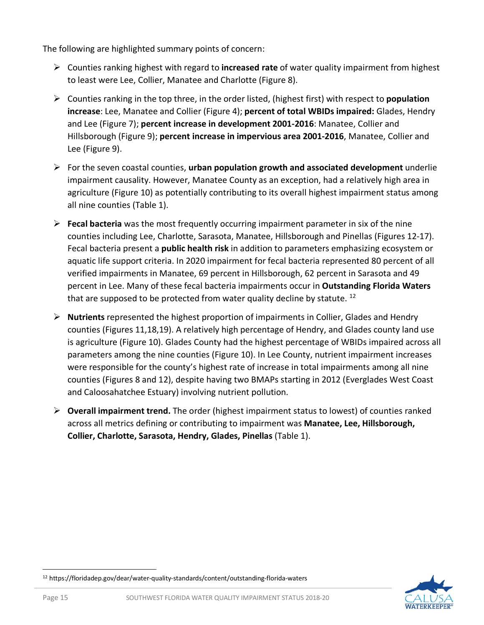The following are highlighted summary points of concern:

- Counties ranking highest with regard to **increased rate** of water quality impairment from highest to least were Lee, Collier, Manatee and Charlotte (Figure 8).
- Counties ranking in the top three, in the order listed, (highest first) with respect to **population increase**: Lee, Manatee and Collier (Figure 4); **percent of total WBIDs impaired:** Glades, Hendry and Lee (Figure 7); **percent increase in development 2001-2016**: Manatee, Collier and Hillsborough (Figure 9); **percent increase in impervious area 2001-2016**, Manatee, Collier and Lee (Figure 9).
- For the seven coastal counties, **urban population growth and associated development** underlie impairment causality. However, Manatee County as an exception, had a relatively high area in agriculture (Figure 10) as potentially contributing to its overall highest impairment status among all nine counties (Table 1).
- **Fecal bacteria** was the most frequently occurring impairment parameter in six of the nine counties including Lee, Charlotte, Sarasota, Manatee, Hillsborough and Pinellas (Figures 12-17). Fecal bacteria present a **public health risk** in addition to parameters emphasizing ecosystem or aquatic life support criteria. In 2020 impairment for fecal bacteria represented 80 percent of all verified impairments in Manatee, 69 percent in Hillsborough, 62 percent in Sarasota and 49 percent in Lee. Many of these fecal bacteria impairments occur in **Outstanding Florida Waters** that are supposed to be protected from water quality decline by statute.  $^{12}$
- **Nutrients** represented the highest proportion of impairments in Collier, Glades and Hendry counties (Figures 11,18,19). A relatively high percentage of Hendry, and Glades county land use is agriculture (Figure 10). Glades County had the highest percentage of WBIDs impaired across all parameters among the nine counties (Figure 10). In Lee County, nutrient impairment increases were responsible for the county's highest rate of increase in total impairments among all nine counties (Figures 8 and 12), despite having two BMAPs starting in 2012 (Everglades West Coast and Caloosahatchee Estuary) involving nutrient pollution.
- **Overall impairment trend.** The order (highest impairment status to lowest) of counties ranked across all metrics defining or contributing to impairment was **Manatee, Lee, Hillsborough, Collier, Charlotte, Sarasota, Hendry, Glades, Pinellas** (Table 1).



<span id="page-14-0"></span><sup>12</sup> https://floridadep.gov/dear/water-quality-standards/content/outstanding-florida-waters